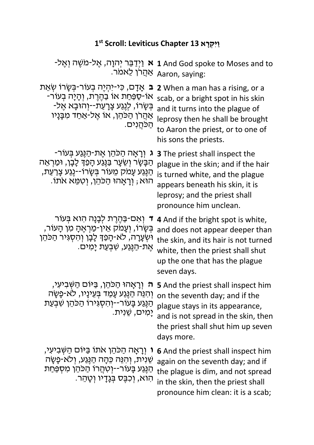## **1st Scroll: Leviticus Chapter 13 וַיִּקְרָא**

|                                                                                                                                                                                                              | יַן 1 And God spoke to Moses and to יִן הַבָּר יְהוָה, אֶל-מֹשֶׁה וְאֶל-<br>ַ אַהֲרֹן לֵאמֹר.<br>פּוֹח Aaron, saying:                                                                                                                           |
|--------------------------------------------------------------------------------------------------------------------------------------------------------------------------------------------------------------|-------------------------------------------------------------------------------------------------------------------------------------------------------------------------------------------------------------------------------------------------|
| ב אֲדָם, כִּי-יִהְיֵה בְעוֹר-בָּשָׂרוֹ שָׂאֵת<br>אוֹ-סַפַּחַת אוֹ בַהֶרֶת, וְהָיָה בְעוֹר-<br>ַּבְּשָׂרוֹ, לְנֶגַע צָרָעַת--וִהוּבָא אֵל-<br><u>אַהַ</u> רֿן הַכּהֵן, אוֹ אֵל-אַחַד מִבָּנָיו<br>הַכּהֲנִים. | 2 When a man has a rising, or a<br>scab, or a bright spot in his skin<br>and it turns into the plague of<br>leprosy then he shall be brought<br>to Aaron the priest, or to one of<br>his sons the priests.                                      |
| ֹג וִרָאָה הַכֹּהֵן אֵת-הַנֵּנַע בְּעוֹר<br>ּהַבָּשָׂר וְשֵׂעָר בַּגֵּנַע הָפַךְּ לָבָן, וּמַרְאֵה<br>ָּהַנְּנַע עָמֹק מֵעוֹר בְּשָׂרוֹ--נֶנַע צְרַעַת,<br>ּהוּא ; וְרָאָהוּ הַכֹּהֵן, וְטִמֵּא אֹתוֹ.       | <b>3</b> The priest shall inspect the<br>plague in the skin; and if the hair<br>is turned white, and the plague<br>appears beneath his skin, it is<br>leprosy; and the priest shall<br>pronounce him unclean.                                   |
| ד וְאִם-בַּהֶרֶת לְבָנָה הִוא בִּעוֹר<br>ְבְּשָׂרוֹ, וְעָמֹק אֵין-מַרְאֶהָ מִן הָעוֹר,<br>וּשְׁעֲרָה, לֹא-הָפַןּ לָבָן וִהְסְגִּיר הַכֹּהֵן<br>ּאֵת-הַנֵּנַע, שִׁבְעַת יָמִים.                               | 4 And if the bright spot is white,<br>and does not appear deeper than<br>the skin, and its hair is not turned<br>white, then the priest shall shut<br>up the one that has the plague<br>seven days.                                             |
| וְהִנֵּה הַנֶּגַע עָמַד בְּעֵינָיו, לֹא-פָשָׂה<br>הַנֵּנַע בָּעוֹר--וִהְסְגִּירוֹ הַכֹּהֵן שְׁבִעַת<br>יָמִים, שֵׁנִית.                                                                                      | ה נְרָאָהוּ הַכֹּהֵן, בַּיּוֹם הַשָּׁבִיעִי, s And the priest shall inspect him<br>on the seventh day; and if the<br>plague stays in its appearance,<br>and is not spread in the skin, then<br>the priest shall shut him up seven<br>days more. |
| ו וִרָאָה הַכֹּהֵן אֹתוֹ בַּיּוֹם הַשְּׁבִיעִי,<br>ֹשֵׁנִית, וְהְנֵּה כֵּהָה הַנֵּנֵע, וְלֹא-פָשָׂה<br>ּהַנֵּנַע בָּעוֹר--וְטְהֵרוֹ הַכֹּהֵן מִסְפַּחַת<br>ּהִוא, וִכְבֵּס בְּנָדָיו וְטָהֵר.                | <b>6</b> And the priest shall inspect him<br>again on the seventh day; and if<br>the plague is dim, and not spread<br>in the skin, then the priest shall<br>pronounce him clean: it is a scab;                                                  |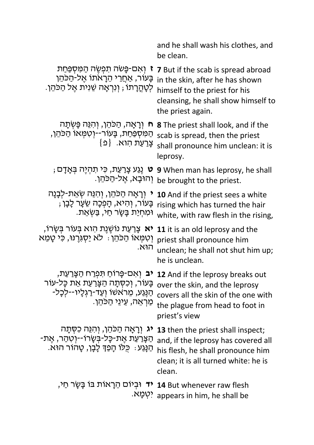|                                                                                                                                                | and he shall wash his clothes, and<br>be clean.                                                                                                                                                                    |
|------------------------------------------------------------------------------------------------------------------------------------------------|--------------------------------------------------------------------------------------------------------------------------------------------------------------------------------------------------------------------|
| ז וְאִם-פָּשׂה תִפְשֵׂה הַמְּסִפַּחַת<br>בָּעוֹר, אַחֲרֵי הֵרָאֹתוֹ אֶל-הַכֹּהֵן<br>ַלְטָהֳרָתוֹ ; וְנִרְאָה שֵׁנִית אֱל הַכֹּהֵן.             | <b>7</b> But if the scab is spread abroad<br>in the skin, after he has shown<br>himself to the priest for his<br>cleansing, he shall show himself to<br>the priest again.                                          |
| ּח וְרָאָה, הַכֹּהֵן, וְהָגֵּה פָּשְׂתָה<br>הַמִּסְפַּחַת, בָּעוֹר--וְטִמְּאוֹ הַכּהֵן <mark>,</mark><br>צָרַעַת הָוא. {פ                      | <b>8</b> The priest shall look, and if the<br>scab is spread, then the priest<br>shall pronounce him unclean: it is<br>leprosy.                                                                                    |
| <b>ָט</b> נֶגַע צְרַעַת, כִּי תִהְיֶה בְּאָדָם (<br>ּוְהוּבָא, אֵל-הַכֹּהֵן.                                                                   | <b>9</b> When man has leprosy, he shall<br>be brought to the priest.                                                                                                                                               |
| י וִרָאָה הַכֹּהֵן, וִהְנֵּה שָׂאֵת-לִבָּנָה<br>בָּעוֹר, וְהִיא, הָפִכָּה שֵׂעָר לָבָן ;<br>ּוּמְחִיַּת בָּשָׂר חַי, בַּשְׂאֵת.                | <b>10</b> And if the priest sees a white<br>rising which has turned the hair<br>white, with raw flesh in the rising,                                                                                               |
| <b>יא</b> צָרַעַת נוֹשֶׁנֵת הָוא בְּעוֹר בְּשֶׂרוֹ,<br>וְטְמְּאוֹ הַכֹּהֵן : לֹא יַסְגְּרֵנּוּ, כִּי טָמֵא<br>הוּא.                            | 11 it is an old leprosy and the<br>priest shall pronounce him<br>unclean; he shall not shut him up;<br>he is unclean.                                                                                              |
| בָּעוֹר, וְכִסְתָה הַצָּרַעַת אֵת כָּל-עוֹר<br>ּהַנֵּע, מֵראשׁוֹ וְעַד-רַגְלָיו--לִכָל-<br>ַמַרְאֵה, עֵינֵי הַכֹּהֵן.                          | <b>12</b> And if the leprosy breaks out <b>יב</b> יְאִם-פָּרוֹחַ תִּפְרַח הַצָּרַעַת,<br>over the skin, and the leprosy<br>covers all the skin of the one with<br>the plague from head to foot in<br>priest's view |
| <b>יג</b> ורָאָה הַכֹּהֵן, וְהִנֵּה כִסְתָה<br>-הַצָּרַעַת אֵת-כָּל-בִּשָׂרוֹ--וְטְהַר, אֵת<br>ּהַנְּגַע ִּ כִּלוֹ הָפַךְּ לָבָן, טָהוֹר הוּא. | 13 then the priest shall inspect;<br>and, if the leprosy has covered all<br>his flesh, he shall pronounce him<br>clean; it is all turned white: he is<br>clean.                                                    |
| <b>יד</b> וּבִיוֹם הֵרָאוֹת בּוֹ בָּשָׂר חַי,                                                                                                  | 14 But whenever raw flesh<br><sup>.אָבְע</sup> א. appears in him, he shall be                                                                                                                                      |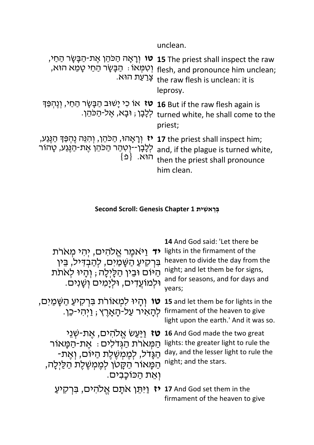unclean.

| יָר הַבָּשָׂר הַכֹּהֵן אֶת-הַבָּשָׂר הַחַי, <b>15</b> The priest shall inspect the raw<br>ּוְטִמְּאוֹ : הַבָּשָׂר הַחַי טָמֵא הוּא, <sub>flesh, and pronounce him unclean;</sub><br>.צְרַעַת הוּא the raw flesh is unclean: it is<br>leprosy. |
|-----------------------------------------------------------------------------------------------------------------------------------------------------------------------------------------------------------------------------------------------|
| <b>16</b> But if the raw flesh again is <b>טז</b> אוֹ כִי יָשׁוּב הַבָּשָׂר הַחַי, וְנֶהְפַּךְ<br>לְבָן ; וּבָא, אֶל-הַכֹּהֵן.<br>לְבָן ; וּבָא, אֶל-הַכֹּהֵן.<br>priest;                                                                     |
| the priest shall inspect him; יָרָאָהוּ, הַכֹּהֵן, וְהִגֵּה נֶהְפַּךְּ הַגֶּנַע,<br>and, if the plague is turned white, לְּכָן--יְטְהַר הַכֹּהֵן אֶת-הַגֶּנַע, טָהוֹר<br>הוּא. {פ}<br>him clean.                                              |

## **A** Econd Scroll: Genesis Chapter 1 בְּרֵאשִׁית

| <b>יד</b> וַיֹּאמֵר אֱלֹהִים, יִהִי מִארת<br>בּרִקִיעַ הַשָּׁמַיִם, לְהַבְדִּיל, בֵּין<br>הַיּוֹם וּבֵין הַלָּיְלָה ; וְהָיוּ לְאתת<br>וּלְמוֹעֲדִים, וּלִיָמִים וְשָׁנִים.                   | 14 And God said: 'Let there be<br>lights in the firmament of the<br>heaven to divide the day from the<br>night; and let them be for signs,<br>and for seasons, and for days and<br>years; |
|-----------------------------------------------------------------------------------------------------------------------------------------------------------------------------------------------|-------------------------------------------------------------------------------------------------------------------------------------------------------------------------------------------|
| <b>ָטו</b> וְהָיוּ לִמְאוֹרת בּרְקִיעַ הַשָּׁמַיִם,<br>ּלְהָאִיר עַל-הָאָרֵץ; וַיְהִי-כֵן.                                                                                                    | 15 and let them be for lights in the<br>firmament of the heaven to give<br>light upon the earth.' And it was so.                                                                          |
| <b>ַטז</b> וַיַּעַשׂ אֱלֹהִים, אֳת-שְׁנֵי<br>ּהַמָּאֹרֹת הַגְּדֹלִים ִּ אֱת-הַמָּאוֹר<br>ּהַגָּדל, לִמְמְשֶׁלֵת הַיּוֹם, וְאֵת-<br>הַמָּאוֹר הַקָּטן לִמְמְשֶׁלֵת הַלַּיְלַה,<br>ואת הכוכבים. | 16 And God made the two great<br>lights: the greater light to rule the<br>day, and the lesser light to rule the<br>night; and the stars.                                                  |
| ַ וַיּתֵן אתַם אֱלהים, בּרְקִיעַ<br>$\mathbf{v}$                                                                                                                                              | 17 And God set them in the<br>firmament of the heaven to give                                                                                                                             |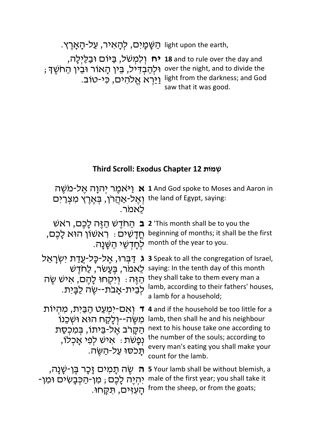,light upon the earth, הַשַּׁמַיִּם, לִהֲאִיר, עַל-הַאֲרֵץ.

**ח יְלִמְשִׁל, בַּיּוֹם וּבַלַיְלָה, 18** and to rule over the day and ; רְאוֹר וּבִין הַאוֹר וּבִין הַחֹשֶׁךָ over the night, and to divide the יִיַּרְא אֱלהים, כִּי-טוֹב. light from the darkness; and God saw that it was good.

## **Third Scroll: Exodus Chapter 12 שְׁתוֹמ**

**אַ יַ<sup>אָ</sup>אָמֶר יְהוָה אֶל-מִשֶּׁה 1** And God spoke to Moses and Aaron in ַלְ-אַהֲרֹן, בְּאֶרֶץ מִצְרַים the land of Egypt, saying: .רֹמאֵל **ב** שׁאֹר ,םֶכָל הֶזַּה שֶׁדֹחַה **2** 'This month shall be to you the ּחֲדָשִׁים : רֹאשׁוֹן הוּא לָכֶם, beginning of months; it shall be the first .month of the year to you לְחָדְשֵׁי הַשָּׁנָה " **ג** דַּבְּרוּ, אֶל-כָּל-עֲדַת יִשְׂרָאֵל **3** Speak to all the congregation of Israel, שֶׁר, כַּעָשׁר, לַחֹדֶשׁ saying: In the tenth day of this month ְהַזֶּה הִיֹּקִיחוּ לָהֶם, אִישׁ שֶׂה לְבִית-אָבֹת--שֶׂה לַבָּית. they shall take to them every man a lamb, according to their fathers' houses, a lamb for a household; **ד** וְאִם-יִמְעַט הַבַּיִת, מִהְיוֹת 4 and if the household be too little for a ้ מִשֶּׂה--יְלָקַח הוּא וּשְׁבֵנוֹ lamb, then shall he and his neighbour ְהַקָּרב אֱל-בֵּיתוֹ, בִּמִכְסַת ,תְּמִיׁ יִבְלוֹ the number of the souls; according to<br>המשטח האופל המשתח המשתח המשתח המשתח המשטח המשתח המשתח המשתח המשתח המשתח המשת .<br>תּכִסוּ עַל-<u>הָשֶ</u>ׂה. next to his house take one according to every man's eating you shall make your count for the lamb. ּיְחָת תָּמִיּם זָכָר בֶּן-שָׁנָה, s Your lamb shall be without blemish,<br>יִהְיֶה לָכֶם ; מִן-הַכְּבָשִׂים וּמִן- male of the first year; you shall take it הְעִיִּים, תִּקְּחוּ, **ָה** תְּמִיּם זָכָר בֵּן-שָׁנָה, s Your lamb shall be without blemish, a from the sheep, or from the goats;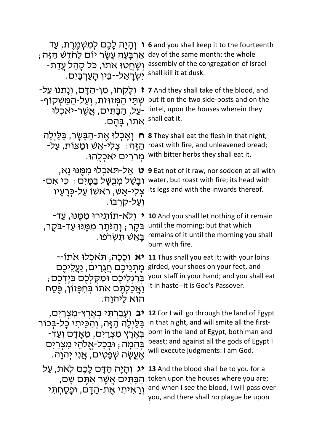| ו וְהָיָה לָכֵם לְמִשְׁמֵרֵת, עַד<br>ּאַרְבָּעָה עָשָׂר יוֹם לַחדֵשׁ הַזֵּה<br>ּיְשַׁחֲטוּ אתוֹ, כּל קְהַל עֲדַת-<br>ישְׂרָאֵל--בֵּין הָעַרְבָּיִם.                                                 | 6 and you shall keep it to the fourteenth<br>day of the same month; the whole<br>assembly of the congregation of Israel<br>shall kill it at dusk.                                                                               |
|-----------------------------------------------------------------------------------------------------------------------------------------------------------------------------------------------------|---------------------------------------------------------------------------------------------------------------------------------------------------------------------------------------------------------------------------------|
| ז וְלַקְחוּ, מִן-הַדָּם, וְנָתְנוּ עַל-<br>ּשְׁתֵּי הַמְזוּזת, וְעַל-הַמַּשְׁקוֹף-<br>-עַל, הַבַּתִּים, אֲשֶׁר-יאכְלוּ<br>אתו, בַּהֵם.                                                              | 7 And they shall take of the blood, and<br>put it on the two side-posts and on the<br>lintel, upon the houses wherein they<br>shall eat it.                                                                                     |
| וְאַכְלוּ אֶת-הַבָּשָׂר, בַּלַיִלַה<br>$\bigcap$<br>ּהַזֶּה ִּ צִלִּי-אֵשׁ וּמַצּוֹת, עַלֹ-<br>מִררִים יאכִלְהוּ.                                                                                   | 8 They shall eat the flesh in that night,<br>roast with fire, and unleavened bread;<br>with bitter herbs they shall eat it.                                                                                                     |
| <b>ט</b> אַל-תּאכְלוּ מִמֵּנּוּ נַא,<br>ּוּבַשֶׁל מִבְשָּׁל בַּמַּיִּם ִּ כִּי אִם-<br>צִלִי-אֵשׁ, ראשׁוֹ עַל-כְּרַעַיו<br>וִעֲל-קרִבּו.                                                            | 9 Eat not of it raw, nor sodden at all with<br>water, but roast with fire; its head with<br>its legs and with the inwards thereof.                                                                                              |
| ַוְלֹא-תוֹתִירוּ מִמְּנוּ, עַד<br>בּקֵר ; וְהַנּתָר מִמֵּנּוּ עַד-בּקֵר,<br>ַּבַאֵשׁ תַּשְׂרֹפוּ.                                                                                                   | 10 And you shall let nothing of it remain<br>until the morning; but that which<br>remains of it until the morning you shall<br>burn with fire.                                                                                  |
| <b>יא</b> וְכַכָה, תּאכִלוּ אתוֹ--<br>מָתְנֵיכֶם חֲגָרִים, <u>נַעֲל</u> ִיכֵם<br>בִּרַגְלֵיכֵם וּמַקֵּלְכֵם בִּיֵדְכֵם;<br>וַאֲכַלְתֵּם אתוֹ בִּחִפָּזוֹן, פֵּסַח<br>הוּא לַיהוַה.                  | 11 Thus shall you eat it: with your loins<br>girded, your shoes on your feet, and<br>your staff in your hand; and you shall eat<br>it in haste--it is God's Passover.                                                           |
| וְעָבַרְתִּי בְאֶרֶץ-מִצְרַיִּם,<br>בַּלַיִלַה הַזֶּה, וְהִכֵּיתִי כַל-בִּכוֹר<br>-בְּאֶרֶץ מִצְרַיִם, מֵאָדָם וְעַד<br>בְּהֵמַה ; וּבְכָל-אֱלֹהֶי מִצְרַיִּם<br>ּאֶעֱשֶׂה שְׁפָטִים, אֲנִי יִהוַה. | <b>12</b> For I will go through the land of Egypt<br>in that night, and will smite all the first-<br>born in the land of Egypt, both man and<br>beast; and against all the gods of Egypt I<br>will execute judgments: I am God. |
| וְהָיָה הַדָּם לָכֶם לְאת, עַל<br>הַבָּתִּים אֲשֶׁר אַתֵּם שַׁם,<br>וִרַאִיתִי אֵת-הַדָּם, וּפָסַחְתִּי                                                                                             | <b>13</b> And the blood shall be to you for a<br>token upon the houses where you are;<br>and when I see the blood, I will pass over<br>you, and there shall no plague be upon                                                   |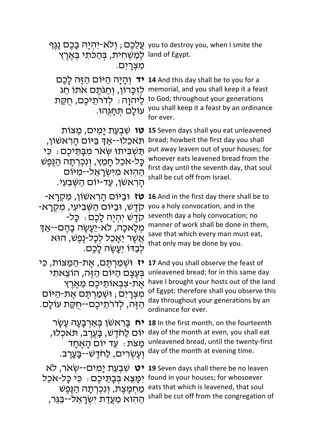ּיתְיָה בָכֶם נֶגֶף you to destroy you, when I smite the land of Egypt. לְמַשְׁחִית, בְּהַכִּתִי בְּאֶרֶץ .מצרים

לֵיהוַה : לְדֹרֹתֵיכֶם, חָקֵת ַעוֹלָם תְּחָגְּהוּ.

**די** םֶכָל הֶזַּה םוֹיַּה הָיָהְו **14** And this day shall be to you for a לְזָכָּרוֹן, וְחַגּתֶם אֹתוֹ חַג memorial, and you shall keep it a feast to God; throughout your generations you shall keep it a feast by an ordinance for ever.

> bread; howbeit the first day you shall put away leaven out of your houses; for whoever eats leavened bread from the first day until the seventh day, that soul

shall be cut off from Israel.

**וט שִׁבְעַת יָמִים, <u>מ</u>ַצוֹת Ωטן נ***ו***צוֹת <b>15** Seven days shall you eat unleavened תִאכלוֹ--אִד בִּיּוֹם הראשׁוֹו, ָתְּשָׁבִּיְתוּ שָׂאָר מִבְּתִּיכָם: כֵּי כָּל-אֹכֵל חָמֵץ, וְנִכְרְתָה הַנֶּפֶשׁ הַהוא מִיּשְׂרָאֵל--מִיּוֹם<br>הַרִאשׁן, עַד-יוֹם הַשָּׁבִעִי.

**טז** וּבַיּוֹם הָראשוֹן, מִקְרָא-<br>קִדָּשׁ, וּבַיּוֹם הַשְּׁבִיעִי, מִקְרָא-<br>קדש יהיה לכם : כּל-מְלַאכָה, לֹא-יֵעֲשֶׂה בַהֶם--אֲדִּ ְאֲשֶׁר יֵאָכֵל לְכָל-נֶפֶשׁ, הוּא ֹלְבַדוֹ יֵעֲשֶׂה לַכִּם.

**16** And in the first day there shall be to you a holy convocation, and in the seventh day a holy convocation; no manner of work shall be done in them, save that which every man must eat, that only may be done by you.

**יז** וּשְׁמַרְתֵּם, אֱת-הַמַּצּוֹת, כִּי ַבְּעֲצֵם הַיּּוֹם הַזֶּה, הוֹצֵאתִי אֶת-צִבְאוֹתֵיכֶם מֶאֱרֶץ מִצְרָים; וּשְׁמַרְתֵּם אֵת-הַיּוֹם ְהַזֶּה, לְדֹרֹתֵיכֶם--חֻקַּת עוֹלָם.

**יח** בָּראשׁן בִּאַרְבָּעָה עָשָׂר יּוֹם לַחְדֵשׁ, בָּעֱרֶב, תִּאכְלוּ, מצת: עד יום האחד וְעֵשְׂרִים, לַחְדֵשׁ*--בָּ*עֲרָב.

יט שִׁבְעַת יַמְים--שִׂאר, לֹא יִמָּצֵא בִּבָּתֵּיכֵם : כִּי כָּל-אַכֵל ְמַחְמֵצֶת, וְנְכְרְתָה הַנֵּפֵש הַהִוא מֶעֲדַת יִשְׂרַאֵל--בַּגֶּר,

**17** And you shall observe the feast of unleavened bread; for in this same day have I brought your hosts out of the land of Egypt; therefore shall you observe this day throughout your generations by an ordinance for ever.

**18** In the first month, on the fourteenth day of the month at even, you shall eat unleavened bread, until the twenty-first day of the month at evening time.

**19** Seven days shall there be no leaven found in your houses; for whosoever eats that which is leavened, that soul shall be cut off from the congregation of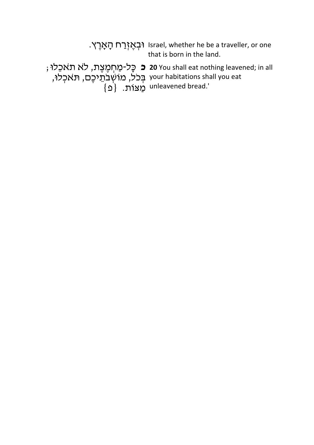|                                                                   | רִבְאֱזְרַח הַאֲרֵץ. Israel, whether he be a traveller, or one<br>that is born in the land.                          |
|-------------------------------------------------------------------|----------------------------------------------------------------------------------------------------------------------|
| your habitations shall you eat בְּכֵל, מוֹשְׁבֹתֵיכֶם, תֹּאכְלוּ, | ; כָּל-מַחְמֵצֵת, לֹא תאכֵלוּ <b>20</b> You shall eat nothing leavened; in all<br>{פ <sup>}</sup> unleavened bread.' |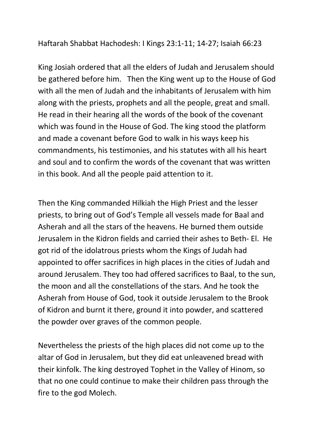Haftarah Shabbat Hachodesh: I Kings 23:1-11; 14-27; Isaiah 66:23

King Josiah ordered that all the elders of Judah and Jerusalem should be gathered before him. Then the King went up to the House of God with all the men of Judah and the inhabitants of Jerusalem with him along with the priests, prophets and all the people, great and small. He read in their hearing all the words of the book of the covenant which was found in the House of God. The king stood the platform and made a covenant before God to walk in his ways keep his commandments, his testimonies, and his statutes with all his heart and soul and to confirm the words of the covenant that was written in this book. And all the people paid attention to it.

Then the King commanded Hilkiah the High Priest and the lesser priests, to bring out of God's Temple all vessels made for Baal and Asherah and all the stars of the heavens. He burned them outside Jerusalem in the Kidron fields and carried their ashes to Beth- El. He got rid of the idolatrous priests whom the Kings of Judah had appointed to offer sacrifices in high places in the cities of Judah and around Jerusalem. They too had offered sacrifices to Baal, to the sun, the moon and all the constellations of the stars. And he took the Asherah from House of God, took it outside Jerusalem to the Brook of Kidron and burnt it there, ground it into powder, and scattered the powder over graves of the common people.

Nevertheless the priests of the high places did not come up to the altar of God in Jerusalem, but they did eat unleavened bread with their kinfolk. The king destroyed Tophet in the Valley of Hinom, so that no one could continue to make their children pass through the fire to the god Molech.